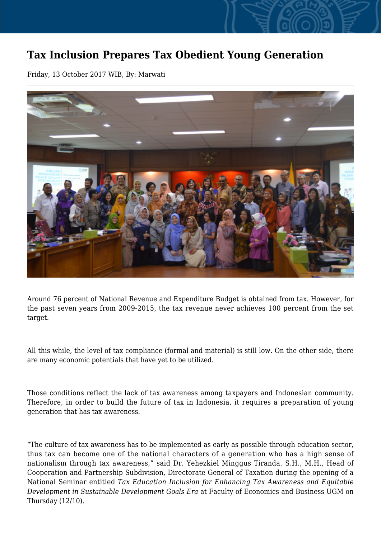## **Tax Inclusion Prepares Tax Obedient Young Generation**

Friday, 13 October 2017 WIB, By: Marwati



Around 76 percent of National Revenue and Expenditure Budget is obtained from tax. However, for the past seven years from 2009-2015, the tax revenue never achieves 100 percent from the set target.

All this while, the level of tax compliance (formal and material) is still low. On the other side, there are many economic potentials that have yet to be utilized.

Those conditions reflect the lack of tax awareness among taxpayers and Indonesian community. Therefore, in order to build the future of tax in Indonesia, it requires a preparation of young generation that has tax awareness.

"The culture of tax awareness has to be implemented as early as possible through education sector, thus tax can become one of the national characters of a generation who has a high sense of nationalism through tax awareness," said Dr. Yehezkiel Minggus Tiranda. S.H., M.H., Head of Cooperation and Partnership Subdivision, Directorate General of Taxation during the opening of a National Seminar entitled *Tax Education Inclusion for Enhancing Tax Awareness and Equitable Development in Sustainable Development Goals Era* at Faculty of Economics and Business UGM on Thursday (12/10).